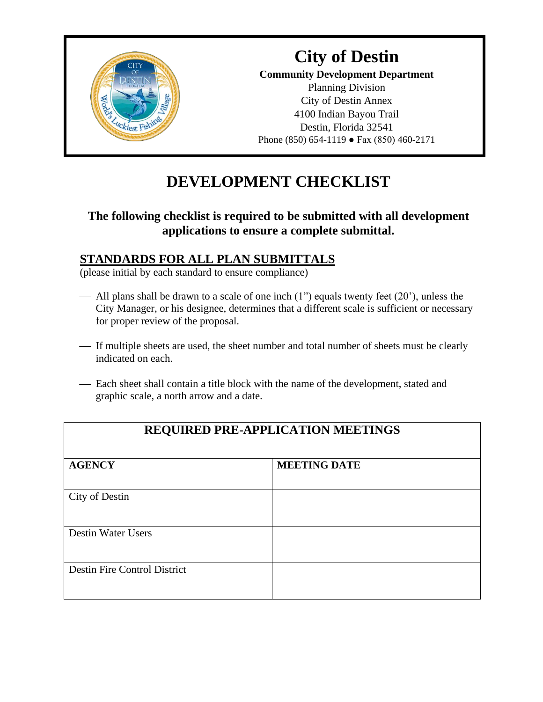

### **City of Destin Community Development Department** Planning Division City of Destin Annex 4100 Indian Bayou Trail Destin, Florida 32541 Phone (850) 654-1119 ● Fax (850) 460-2171

# **DEVELOPMENT CHECKLIST**

### **The following checklist is required to be submitted with all development applications to ensure a complete submittal.**

### **STANDARDS FOR ALL PLAN SUBMITTALS**

(please initial by each standard to ensure compliance)

- All plans shall be drawn to a scale of one inch  $(1")$  equals twenty feet  $(20')$ , unless the City Manager, or his designee, determines that a different scale is sufficient or necessary for proper review of the proposal.
- ⎯ If multiple sheets are used, the sheet number and total number of sheets must be clearly indicated on each.
- Each sheet shall contain a title block with the name of the development, stated and graphic scale, a north arrow and a date.

| <b>REQUIRED PRE-APPLICATION MEETINGS</b> |                     |  |
|------------------------------------------|---------------------|--|
| <b>AGENCY</b>                            | <b>MEETING DATE</b> |  |
| City of Destin                           |                     |  |
| <b>Destin Water Users</b>                |                     |  |
| <b>Destin Fire Control District</b>      |                     |  |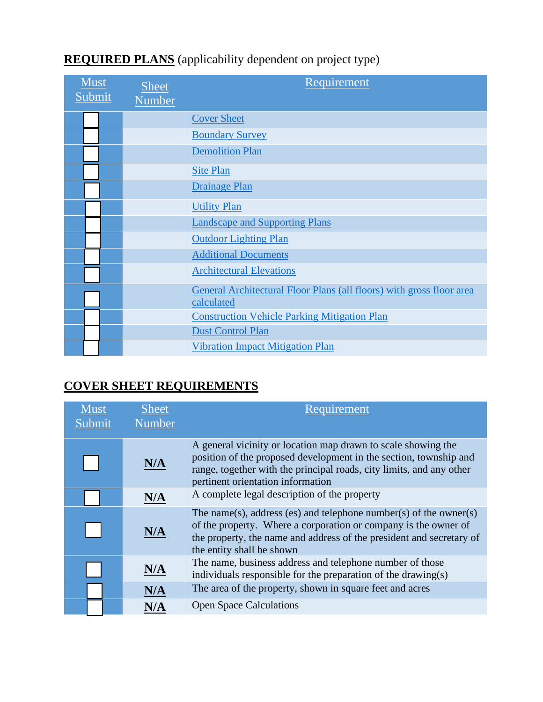| <b>Must</b><br>Submit | <b>Sheet</b><br>Number | Requirement                                                                        |
|-----------------------|------------------------|------------------------------------------------------------------------------------|
|                       |                        | <b>Cover Sheet</b>                                                                 |
|                       |                        | <b>Boundary Survey</b>                                                             |
|                       |                        | <b>Demolition Plan</b>                                                             |
|                       |                        | <b>Site Plan</b>                                                                   |
|                       |                        | <b>Drainage Plan</b>                                                               |
|                       |                        | <b>Utility Plan</b>                                                                |
|                       |                        | <b>Landscape and Supporting Plans</b>                                              |
|                       |                        | <b>Outdoor Lighting Plan</b>                                                       |
|                       |                        | <b>Additional Documents</b>                                                        |
|                       |                        | <b>Architectural Elevations</b>                                                    |
|                       |                        | General Architectural Floor Plans (all floors) with gross floor area<br>calculated |
|                       |                        | <b>Construction Vehicle Parking Mitigation Plan</b>                                |
|                       |                        | <b>Dust Control Plan</b>                                                           |
|                       |                        | <b>Vibration Impact Mitigation Plan</b>                                            |

# **REQUIRED PLANS** (applicability dependent on project type)

# <span id="page-1-0"></span>**COVER SHEET REQUIREMENTS**

| Must<br>Submit | <b>Sheet</b><br><b>Number</b> | Requirement                                                                                                                                                                                                                                     |
|----------------|-------------------------------|-------------------------------------------------------------------------------------------------------------------------------------------------------------------------------------------------------------------------------------------------|
|                | N/A                           | A general vicinity or location map drawn to scale showing the<br>position of the proposed development in the section, township and<br>range, together with the principal roads, city limits, and any other<br>pertinent orientation information |
|                | N/A                           | A complete legal description of the property                                                                                                                                                                                                    |
|                | N/A                           | The name(s), address (es) and telephone number(s) of the owner(s)<br>of the property. Where a corporation or company is the owner of<br>the property, the name and address of the president and secretary of<br>the entity shall be shown       |
|                | N/A                           | The name, business address and telephone number of those<br>individuals responsible for the preparation of the drawing(s)                                                                                                                       |
|                | N/A                           | The area of the property, shown in square feet and acres                                                                                                                                                                                        |
|                |                               | <b>Open Space Calculations</b>                                                                                                                                                                                                                  |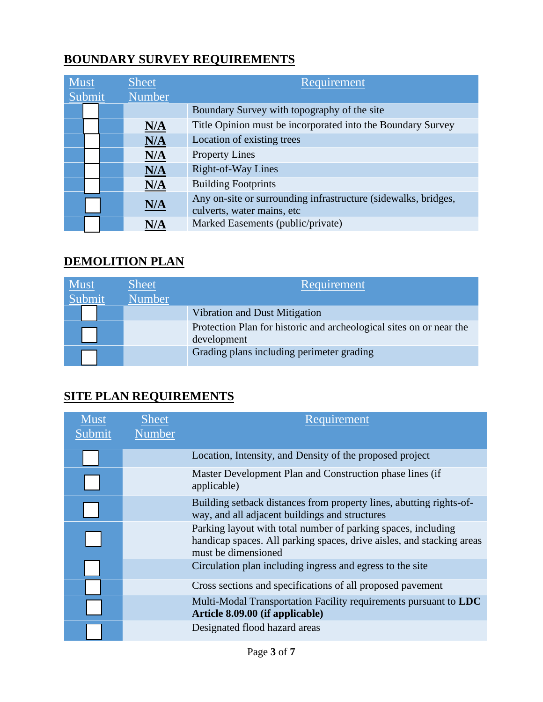### <span id="page-2-0"></span>**BOUNDARY SURVEY REQUIREMENTS**

| <b>Must</b> |  | <b>Sheet</b>  | Requirement                                                                                   |
|-------------|--|---------------|-----------------------------------------------------------------------------------------------|
| Submit      |  | <b>Number</b> |                                                                                               |
|             |  |               | Boundary Survey with topography of the site                                                   |
|             |  | N/A           | Title Opinion must be incorporated into the Boundary Survey                                   |
|             |  | N/A           | Location of existing trees                                                                    |
|             |  | N/A           | <b>Property Lines</b>                                                                         |
|             |  | N/A           | Right-of-Way Lines                                                                            |
|             |  | N/A           | <b>Building Footprints</b>                                                                    |
|             |  | N/A           | Any on-site or surrounding infrastructure (sidewalks, bridges,<br>culverts, water mains, etc. |
|             |  | N/A           | Marked Easements (public/private)                                                             |

### <span id="page-2-1"></span>**DEMOLITION PLAN**

| <b>Must</b><br>Submit | <b>Sheet</b><br><b>Number</b> | Requirement                                                                        |
|-----------------------|-------------------------------|------------------------------------------------------------------------------------|
|                       |                               | Vibration and Dust Mitigation                                                      |
|                       |                               | Protection Plan for historic and archeological sites on or near the<br>development |
|                       |                               | Grading plans including perimeter grading                                          |

### <span id="page-2-2"></span>**SITE PLAN REQUIREMENTS**

| <b>Must</b><br>Submit | <b>Sheet</b><br><b>Number</b> | Requirement                                                                                                                                                   |
|-----------------------|-------------------------------|---------------------------------------------------------------------------------------------------------------------------------------------------------------|
|                       |                               | Location, Intensity, and Density of the proposed project                                                                                                      |
|                       |                               | Master Development Plan and Construction phase lines (if<br>applicable)                                                                                       |
|                       |                               | Building setback distances from property lines, abutting rights-of-<br>way, and all adjacent buildings and structures                                         |
|                       |                               | Parking layout with total number of parking spaces, including<br>handicap spaces. All parking spaces, drive aisles, and stacking areas<br>must be dimensioned |
|                       |                               | Circulation plan including ingress and egress to the site                                                                                                     |
|                       |                               | Cross sections and specifications of all proposed pavement                                                                                                    |
|                       |                               | Multi-Modal Transportation Facility requirements pursuant to LDC<br>Article 8.09.00 (if applicable)                                                           |
|                       |                               | Designated flood hazard areas                                                                                                                                 |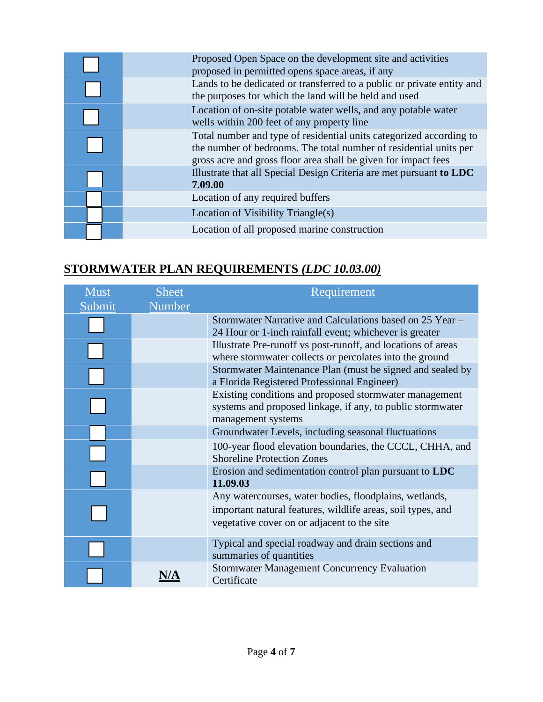| Proposed Open Space on the development site and activities<br>proposed in permitted opens space areas, if any                                                                                              |
|------------------------------------------------------------------------------------------------------------------------------------------------------------------------------------------------------------|
| Lands to be dedicated or transferred to a public or private entity and<br>the purposes for which the land will be held and used                                                                            |
| Location of on-site potable water wells, and any potable water<br>wells within 200 feet of any property line                                                                                               |
| Total number and type of residential units categorized according to<br>the number of bedrooms. The total number of residential units per<br>gross acre and gross floor area shall be given for impact fees |
| Illustrate that all Special Design Criteria are met pursuant to LDC<br>7.09.00                                                                                                                             |
| Location of any required buffers                                                                                                                                                                           |
| Location of Visibility Triangle(s)                                                                                                                                                                         |
| Location of all proposed marine construction                                                                                                                                                               |

# <span id="page-3-0"></span>**STORMWATER PLAN REQUIREMENTS** *(LDC 10.03.00)*

| Must<br>Submit | <b>Sheet</b><br><b>Number</b> | Requirement                                                                                                                                                          |
|----------------|-------------------------------|----------------------------------------------------------------------------------------------------------------------------------------------------------------------|
|                |                               | Stormwater Narrative and Calculations based on 25 Year -<br>24 Hour or 1-inch rainfall event; whichever is greater                                                   |
|                |                               | Illustrate Pre-runoff vs post-runoff, and locations of areas<br>where stormwater collects or percolates into the ground                                              |
|                |                               | Stormwater Maintenance Plan (must be signed and sealed by<br>a Florida Registered Professional Engineer)                                                             |
|                |                               | Existing conditions and proposed stormwater management<br>systems and proposed linkage, if any, to public stormwater<br>management systems                           |
|                |                               | Groundwater Levels, including seasonal fluctuations                                                                                                                  |
|                |                               | 100-year flood elevation boundaries, the CCCL, CHHA, and<br><b>Shoreline Protection Zones</b>                                                                        |
|                |                               | Erosion and sedimentation control plan pursuant to <b>LDC</b><br>11.09.03                                                                                            |
|                |                               | Any watercourses, water bodies, floodplains, wetlands,<br>important natural features, wildlife areas, soil types, and<br>vegetative cover on or adjacent to the site |
|                |                               | Typical and special roadway and drain sections and<br>summaries of quantities                                                                                        |
|                |                               | <b>Stormwater Management Concurrency Evaluation</b><br>Certificate                                                                                                   |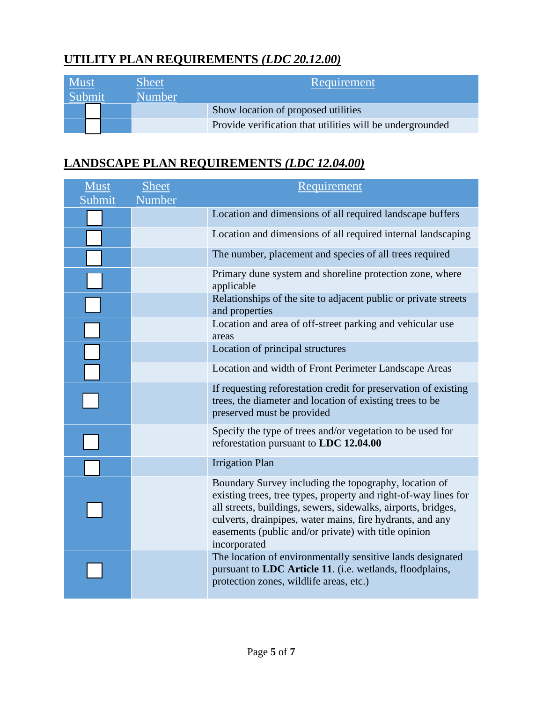### <span id="page-4-0"></span>**UTILITY PLAN REQUIREMENTS** *(LDC 20.12.00)*

| Must<br>Submit |  | <b>Sheet</b><br><b>Number</b> | Requirement                                               |
|----------------|--|-------------------------------|-----------------------------------------------------------|
|                |  |                               | Show location of proposed utilities                       |
|                |  |                               | Provide verification that utilities will be undergrounded |

### <span id="page-4-1"></span>**LANDSCAPE PLAN REQUIREMENTS** *(LDC 12.04.00)*

| Must<br>Submit | <b>Sheet</b><br>Number | Requirement                                                                                                                                                                                                                                                                                                                    |
|----------------|------------------------|--------------------------------------------------------------------------------------------------------------------------------------------------------------------------------------------------------------------------------------------------------------------------------------------------------------------------------|
|                |                        | Location and dimensions of all required landscape buffers                                                                                                                                                                                                                                                                      |
|                |                        | Location and dimensions of all required internal landscaping                                                                                                                                                                                                                                                                   |
|                |                        | The number, placement and species of all trees required                                                                                                                                                                                                                                                                        |
|                |                        | Primary dune system and shoreline protection zone, where<br>applicable                                                                                                                                                                                                                                                         |
|                |                        | Relationships of the site to adjacent public or private streets<br>and properties                                                                                                                                                                                                                                              |
|                |                        | Location and area of off-street parking and vehicular use<br>areas                                                                                                                                                                                                                                                             |
|                |                        | Location of principal structures                                                                                                                                                                                                                                                                                               |
|                |                        | Location and width of Front Perimeter Landscape Areas                                                                                                                                                                                                                                                                          |
|                |                        | If requesting reforestation credit for preservation of existing<br>trees, the diameter and location of existing trees to be<br>preserved must be provided                                                                                                                                                                      |
|                |                        | Specify the type of trees and/or vegetation to be used for<br>reforestation pursuant to LDC 12.04.00                                                                                                                                                                                                                           |
|                |                        | <b>Irrigation Plan</b>                                                                                                                                                                                                                                                                                                         |
|                |                        | Boundary Survey including the topography, location of<br>existing trees, tree types, property and right-of-way lines for<br>all streets, buildings, sewers, sidewalks, airports, bridges,<br>culverts, drainpipes, water mains, fire hydrants, and any<br>easements (public and/or private) with title opinion<br>incorporated |
|                |                        | The location of environmentally sensitive lands designated<br>pursuant to LDC Article 11. (i.e. wetlands, floodplains,<br>protection zones, wildlife areas, etc.)                                                                                                                                                              |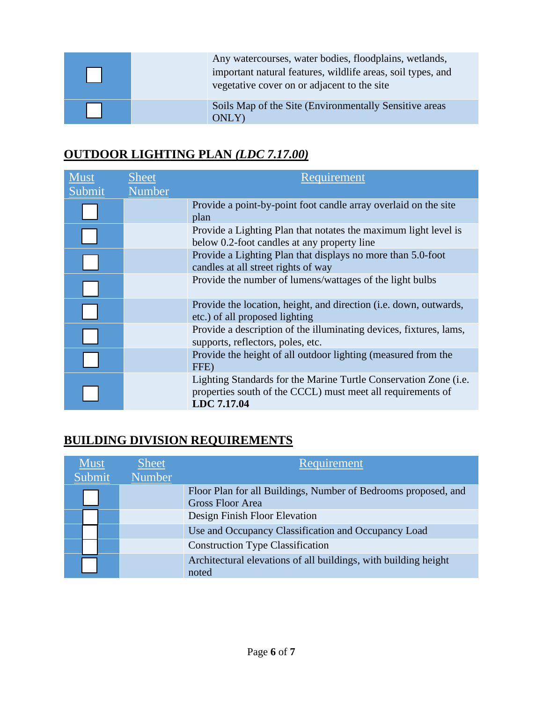|  | Any watercourses, water bodies, floodplains, wetlands,<br>important natural features, wildlife areas, soil types, and<br>vegetative cover on or adjacent to the site |
|--|----------------------------------------------------------------------------------------------------------------------------------------------------------------------|
|  | Soils Map of the Site (Environmentally Sensitive areas)<br>ONLY)                                                                                                     |

### <span id="page-5-0"></span>**OUTDOOR LIGHTING PLAN** *(LDC 7.17.00)*

| Must   | <b>Sheet</b> | Requirement                                                                                                                                    |
|--------|--------------|------------------------------------------------------------------------------------------------------------------------------------------------|
| Submit | Number       |                                                                                                                                                |
|        |              | Provide a point-by-point foot candle array overlaid on the site<br>plan                                                                        |
|        |              | Provide a Lighting Plan that notates the maximum light level is<br>below 0.2-foot candles at any property line                                 |
|        |              | Provide a Lighting Plan that displays no more than 5.0-foot<br>candles at all street rights of way                                             |
|        |              | Provide the number of lumens/wattages of the light bulbs                                                                                       |
|        |              | Provide the location, height, and direction ( <i>i.e. down</i> , outwards,<br>etc.) of all proposed lighting                                   |
|        |              | Provide a description of the illuminating devices, fixtures, lams,<br>supports, reflectors, poles, etc.                                        |
|        |              | Provide the height of all outdoor lighting (measured from the<br>FFE)                                                                          |
|        |              | Lighting Standards for the Marine Turtle Conservation Zone (i.e.<br>properties south of the CCCL) must meet all requirements of<br>LDC 7.17.04 |

# <span id="page-5-1"></span>**BUILDING DIVISION REQUIREMENTS**

| <b>Must</b> | <b>Sheet</b>  | Requirement                                                                               |
|-------------|---------------|-------------------------------------------------------------------------------------------|
| Submit      | <b>Number</b> |                                                                                           |
|             |               | Floor Plan for all Buildings, Number of Bedrooms proposed, and<br><b>Gross Floor Area</b> |
|             |               | Design Finish Floor Elevation                                                             |
|             |               | Use and Occupancy Classification and Occupancy Load                                       |
|             |               | <b>Construction Type Classification</b>                                                   |
|             |               | Architectural elevations of all buildings, with building height<br>noted                  |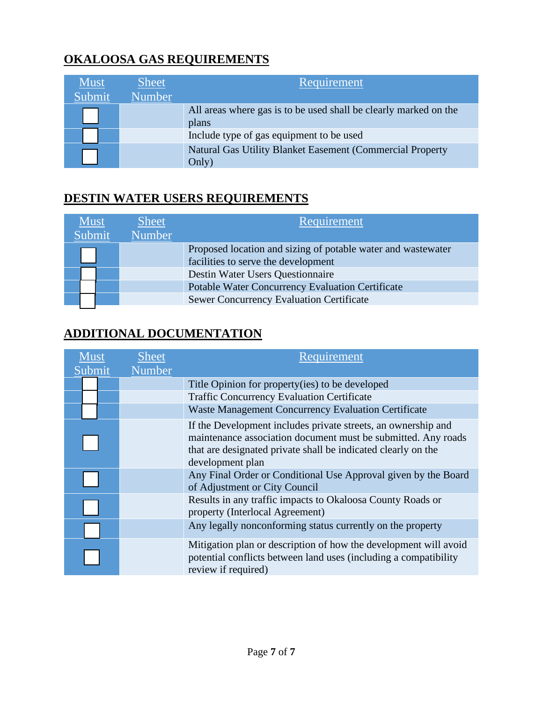## **OKALOOSA GAS REQUIREMENTS**

| <b>Must</b><br>Submit | <b>Sheet</b><br><b>Number</b> | <b>Requirement</b>                                                        |
|-----------------------|-------------------------------|---------------------------------------------------------------------------|
|                       |                               | All areas where gas is to be used shall be clearly marked on the<br>plans |
|                       |                               | Include type of gas equipment to be used                                  |
|                       |                               | Natural Gas Utility Blanket Easement (Commercial Property<br>Only)        |

### **DESTIN WATER USERS REQUIREMENTS**

| <b>Must</b> | Sheet  | Requirement                                                  |
|-------------|--------|--------------------------------------------------------------|
| Submit      | Number |                                                              |
|             |        | Proposed location and sizing of potable water and wastewater |
|             |        | facilities to serve the development                          |
|             |        | Destin Water Users Questionnaire                             |
|             |        | <b>Potable Water Concurrency Evaluation Certificate</b>      |
|             |        | <b>Sewer Concurrency Evaluation Certificate</b>              |
|             |        |                                                              |

# <span id="page-6-0"></span>**ADDITIONAL DOCUMENTATION**

| <b>Must</b><br>Submit | <b>Sheet</b><br><b>Number</b> | Requirement                                                                                                                                                                                     |
|-----------------------|-------------------------------|-------------------------------------------------------------------------------------------------------------------------------------------------------------------------------------------------|
|                       |                               | Title Opinion for property (ies) to be developed                                                                                                                                                |
|                       |                               | <b>Traffic Concurrency Evaluation Certificate</b>                                                                                                                                               |
|                       |                               | Waste Management Concurrency Evaluation Certificate                                                                                                                                             |
|                       |                               | If the Development includes private streets, an ownership and<br>maintenance association document must be submitted. Any roads<br>that are designated private shall be indicated clearly on the |
|                       |                               | development plan                                                                                                                                                                                |
|                       |                               | Any Final Order or Conditional Use Approval given by the Board<br>of Adjustment or City Council                                                                                                 |
|                       |                               | Results in any traffic impacts to Okaloosa County Roads or<br>property (Interlocal Agreement)                                                                                                   |
|                       |                               | Any legally nonconforming status currently on the property                                                                                                                                      |
|                       |                               | Mitigation plan or description of how the development will avoid<br>potential conflicts between land uses (including a compatibility<br>review if required)                                     |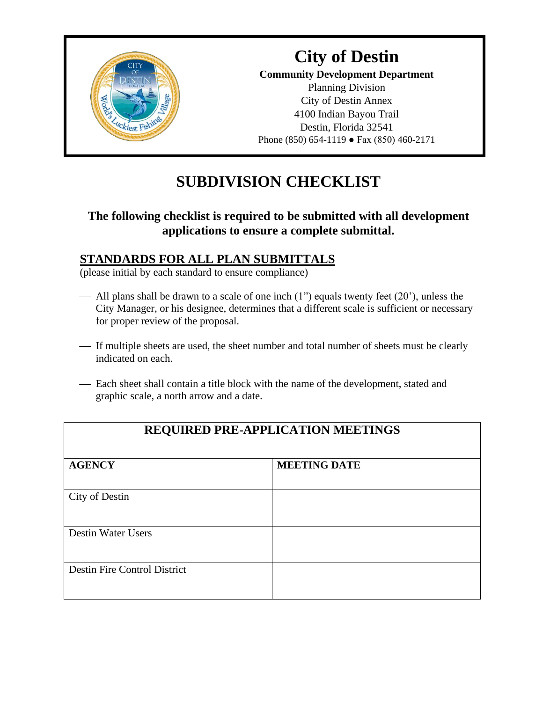

### **City of Destin Community Development Department** Planning Division City of Destin Annex 4100 Indian Bayou Trail Destin, Florida 32541 Phone (850) 654-1119 ● Fax (850) 460-2171

# **SUBDIVISION CHECKLIST**

### **The following checklist is required to be submitted with all development applications to ensure a complete submittal.**

### **STANDARDS FOR ALL PLAN SUBMITTALS**

(please initial by each standard to ensure compliance)

- All plans shall be drawn to a scale of one inch  $(1")$  equals twenty feet  $(20')$ , unless the City Manager, or his designee, determines that a different scale is sufficient or necessary for proper review of the proposal.
- ⎯ If multiple sheets are used, the sheet number and total number of sheets must be clearly indicated on each.
- Each sheet shall contain a title block with the name of the development, stated and graphic scale, a north arrow and a date.

| <b>REQUIRED PRE-APPLICATION MEETINGS</b> |                     |  |
|------------------------------------------|---------------------|--|
| <b>AGENCY</b>                            | <b>MEETING DATE</b> |  |
| City of Destin                           |                     |  |
| <b>Destin Water Users</b>                |                     |  |
| <b>Destin Fire Control District</b>      |                     |  |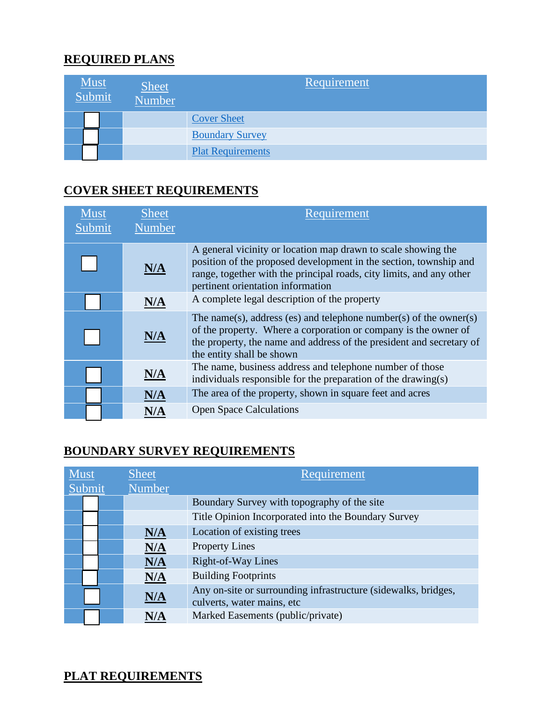### **REQUIRED PLANS**

| <b>Must</b><br>Submit | <b>Sheet</b><br>Number | Requirement              |
|-----------------------|------------------------|--------------------------|
|                       |                        | <b>Cover Sheet</b>       |
|                       |                        | <b>Boundary Survey</b>   |
|                       |                        | <b>Plat Requirements</b> |

#### <span id="page-8-0"></span>**COVER SHEET REQUIREMENTS**

| <b>Must</b><br>Submit | <b>Sheet</b><br>Number | Requirement                                                                                                                                                                                                                                     |
|-----------------------|------------------------|-------------------------------------------------------------------------------------------------------------------------------------------------------------------------------------------------------------------------------------------------|
|                       |                        |                                                                                                                                                                                                                                                 |
|                       | N/A                    | A general vicinity or location map drawn to scale showing the<br>position of the proposed development in the section, township and<br>range, together with the principal roads, city limits, and any other<br>pertinent orientation information |
|                       | N/A                    | A complete legal description of the property                                                                                                                                                                                                    |
|                       | N/A                    | The name(s), address (es) and telephone number(s) of the owner(s)<br>of the property. Where a corporation or company is the owner of<br>the property, the name and address of the president and secretary of<br>the entity shall be shown       |
|                       | N/A                    | The name, business address and telephone number of those<br>individuals responsible for the preparation of the drawing(s)                                                                                                                       |
|                       | N/A                    | The area of the property, shown in square feet and acres                                                                                                                                                                                        |
|                       |                        | <b>Open Space Calculations</b>                                                                                                                                                                                                                  |

### <span id="page-8-1"></span>**BOUNDARY SURVEY REQUIREMENTS**

| <b>Must</b><br>Submit |  | <b>Sheet</b><br>Number | Requirement                                                                                  |
|-----------------------|--|------------------------|----------------------------------------------------------------------------------------------|
|                       |  |                        | Boundary Survey with topography of the site                                                  |
|                       |  |                        | Title Opinion Incorporated into the Boundary Survey                                          |
|                       |  | N/A                    | Location of existing trees                                                                   |
|                       |  | N/A                    | <b>Property Lines</b>                                                                        |
|                       |  | N/A                    | Right-of-Way Lines                                                                           |
|                       |  | N/A                    | <b>Building Footprints</b>                                                                   |
|                       |  | N/A                    | Any on-site or surrounding infrastructure (sidewalks, bridges,<br>culverts, water mains, etc |
|                       |  | N/A                    | Marked Easements (public/private)                                                            |

#### <span id="page-8-2"></span>**PLAT REQUIREMENTS**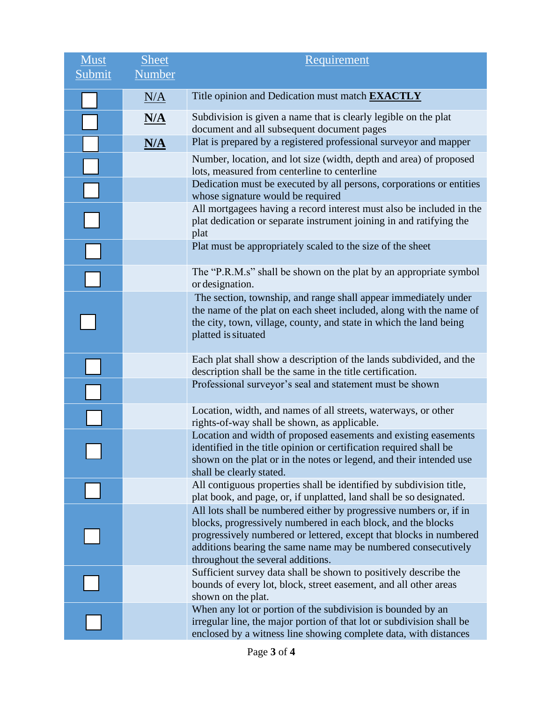| Must   | <b>Sheet</b> | Requirement                                                                                                                                                                                                                                                                                                    |
|--------|--------------|----------------------------------------------------------------------------------------------------------------------------------------------------------------------------------------------------------------------------------------------------------------------------------------------------------------|
| Submit | Number       |                                                                                                                                                                                                                                                                                                                |
|        | N/A          | Title opinion and Dedication must match <b>EXACTLY</b>                                                                                                                                                                                                                                                         |
|        | <u>N/A</u>   | Subdivision is given a name that is clearly legible on the plat<br>document and all subsequent document pages                                                                                                                                                                                                  |
|        | N/A          | Plat is prepared by a registered professional surveyor and mapper                                                                                                                                                                                                                                              |
|        |              | Number, location, and lot size (width, depth and area) of proposed<br>lots, measured from centerline to centerline                                                                                                                                                                                             |
|        |              | Dedication must be executed by all persons, corporations or entities<br>whose signature would be required                                                                                                                                                                                                      |
|        |              | All mortgagees having a record interest must also be included in the<br>plat dedication or separate instrument joining in and ratifying the<br>plat                                                                                                                                                            |
|        |              | Plat must be appropriately scaled to the size of the sheet                                                                                                                                                                                                                                                     |
|        |              | The "P.R.M.s" shall be shown on the plat by an appropriate symbol<br>or designation.                                                                                                                                                                                                                           |
|        |              | The section, township, and range shall appear immediately under<br>the name of the plat on each sheet included, along with the name of<br>the city, town, village, county, and state in which the land being<br>platted is situated                                                                            |
|        |              | Each plat shall show a description of the lands subdivided, and the<br>description shall be the same in the title certification.                                                                                                                                                                               |
|        |              | Professional surveyor's seal and statement must be shown                                                                                                                                                                                                                                                       |
|        |              | Location, width, and names of all streets, waterways, or other<br>rights-of-way shall be shown, as applicable.                                                                                                                                                                                                 |
|        |              | Location and width of proposed easements and existing easements<br>identified in the title opinion or certification required shall be<br>shown on the plat or in the notes or legend, and their intended use<br>shall be clearly stated.                                                                       |
|        |              | All contiguous properties shall be identified by subdivision title,<br>plat book, and page, or, if unplatted, land shall be so designated.                                                                                                                                                                     |
|        |              | All lots shall be numbered either by progressive numbers or, if in<br>blocks, progressively numbered in each block, and the blocks<br>progressively numbered or lettered, except that blocks in numbered<br>additions bearing the same name may be numbered consecutively<br>throughout the several additions. |
|        |              | Sufficient survey data shall be shown to positively describe the<br>bounds of every lot, block, street easement, and all other areas<br>shown on the plat.                                                                                                                                                     |
|        |              | When any lot or portion of the subdivision is bounded by an<br>irregular line, the major portion of that lot or subdivision shall be<br>enclosed by a witness line showing complete data, with distances                                                                                                       |